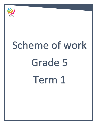

# Scheme of work Grade 5 Term 1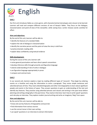

# **Unit 1**

Our first unit introduces fables as a story genre, with character/animal stereotypes and a lesson to be learned. Learners will read and compare different versions of one of Aesop's fables. They focus on the dialogue, characterisation and point-of-view of the storyteller, while seeing how a writer chooses words carefully for effect.

# **Aims and objectives:**

By the end of this unit, learners will be able to:

- identify the features of a standard fable
- explore the role of dialogue in characterisation
- identify the narrative person and the point-of-view the story is told from
- practise dramatic reading skills
- explain ideas confidently using textual evidence

# **Skills development:**

During the course of this unit, learners will:

- revise general punctuation and learn direct speech conventions
- develop inference skills through proverbs and figurative language
- extend understanding of role of verbs in dialogue
- use figurative language appropriately in prose
- compare and contrast texts

# **Unit 2**

In our second unit, learners explore a topic by reading different types of 'recounts'. They begin by ordering events on a timeline and using the information to write a paragraph. They revise simple sentences and adverbial phrases of time. They read a detailed biography and other mini biographies to learn about significant people and events in the history of space. They answer questions to gain an understanding of the text and identify key features. They practise using adverbial phrases and clauses and writing in the past tense before planning and writing a biography in the past tense. They read an interview: learn how to write 'good' questions and role play an interview. They explore modern journal writing and write an imaginary 'blog' from space.

# **Aims and objectives:**

By the end of this unit, learners will be able to:

- know and use key features of biographies and journals
- find information from various sources
- use the correct tense in their own writing
- use 'good' questions in an interview to extract information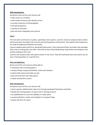#### **Skills development:**

During the course of this unit, learners will:

- order events on a timeline
- write simple sentences with adverbs of time
- use topic sentences to link paragraphs
- write good questions
- role play an interview
- plan and write a biography and a journal

### **Unit 3**

This two-week unit focuses on poetry, specifically nature poems. Learners read and compare poems written by the same poet, focusing on the structure and rhyming pattern of the poems. They explore how comparisons are made through personification and similes.

Learners explore poems with form, specifically haiku poems. They read several haiku, formulate rules and apply these rules to writing their own haiku. They look at ways of describing things using similes and metaphors and practise making up their own.

Learners will compare haiku with poems written in free verse. They will understand that some poems do not have a rhyming pattern or a specific form.

# **Aims and objectives:**

By the end of this unit, learners will be able to:

- read poems with a rhyming pattern
- compare things using personification, simile and metaphor
- analyse haiku poems and make up rules
- plan and write their own haiku poems
- analyse and perform a poem

#### **Skills development:**

During the course of this unit, learners will:

- work in groups collaboratively, take turns through speaking & listening to contribute
- identify the rhyming pattern in poems with a rhyming structure
- use syllabification to count the syllables in a haiku poem
- use personification, similes and metaphors to compare things
- analyse the form of a poem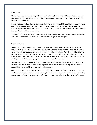#### **Assessment:**

The assessment of pupils' learning is always ongoing. Through verbal and written feedback, we provide pupils with support and advice in order to help them know and improve on their own next steps in the learning process in English.

During the term, pupils will complete independent pieces of writing, which we will use to assess a range of writing skills more generally. This provides us with feedback on how well your child is attaining relative to grade and curriculum expectations. Formatively, it provides feedback that will help us identify the next steps in writing for your child.

At the end of the year, pupils will complete a curriculum based assessment: Cambridge Progression Test and a standardized based assessment: GL Assessment - Progress Test in English.

#### **Support at home:**

Research indicates that reading is a very strong determiner of how well your child will achieve in all areas of learning and we wish to foster a wonderful reading culture in our school. There is also a strong correlation between achievement and the number of books in your home. To help your child at home, please read with them daily. This can mean reading aloud to your child as well listening to your child reading aloud to you. Reading can also take many forms; it might be reading signs when out and about, reading online material, games, magazines, subtitles on the television etc.

Please note the importance of 'Mother Tongue' – children's home and first language. It is crucial that children with English as an Additional Language continue to improve their first language in order to support their learning of English and additional languages.

Children also need to learn their spellings (or sounds) daily and then continue to revise them after any spelling assessments or dictations to ensure they have embedded an ever increasing number of spelling rules or sounds. Remember, we are aiming for long term memory rather than short term performance.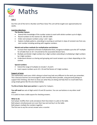

# **Unit 1**

Our first unit of the term is Number and Place Value This unit will be taught over approximately ten weeks.

# **Learning objectives:**

# **The Number System:**

- Extend their knowledge of the number system to work with whole numbers up to 6-digits.
- Round numbers to the nearest 10, 100 and 1000
- Order and compare numbers using < and > signs.
- Explore multiple patterns, extending to counting on and back in steps of constant size from any start number including working with negative numbers.

# **Mental and written methods for multiplication and division:**

- **Increase their repertoire of known multiplication facts, recognise multiples up to the 10<sup>th</sup> multiple** for all table facts to  $10 \times 10$  and derive the associated division facts.
- Multiply and divide 3-digit numbers by 1-digit numbers extending to multiplying 2-digit numbers by 2-digit numbers.
- Understand division as sharing and grouping and round answers up or down depending on the context.

# **Special numbers**:

- Extend the range of multiples to include 7, 8 and 9.
- **•** Learn square numbers up to  $10 \times 10$  and find factors of 2-digit numbers.

# **Support at home**

The mathematics work your child is doing at school may look very different to the work you remember. This is because learners are encouraged to work mentally where possible, using personal jottings to support their thinking. Ask them to show you what they are doing and help them to recall table facts using simple games like the one shown below.

**Try this at home: Beat your partner** is a game for 2 players.

**You will need** two sets of digit cards 0–9 and 20 counters. You can use buttons or any other small object.

It is useful to have a table square for checking answers.

# **What to do**:

Each player shuffles their cards and places them face down in a pile on the table. Both players simultaneously turn over their top card and lay it on the table. Both players multiply the numbers together.

The first one to say the correct answer wins a counter.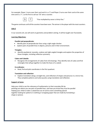For example, Player 1 turns over their card and it is a '5' and Player 2 turns over their card at the same time and is a '7', so the first to call out '35' wins a counter.



 $\begin{array}{|c|c|} \hline \texttt{5} & \texttt{7} & \end{array} \begin{array}{c} \texttt{``Five multiplied by seven is thirty-five."} \end{array}$ 

The game continues until all the counters have been won. The winner is the player with the most counters.

#### **Unit 2**

In our second unit, we will work on geometry and problem solving. It will be taught over fourweeks.

#### **Learning Objectives:**

#### **Parallel and perpendicular**:

- Identify pairs of perpendicular lines using a right-angle checker.
- explore pairs of parallel lines in objects, pictures and in their environment.

#### **Triangles:**

 Identify equilateral, isosceles, scalene and right-angled triangles and explore the properties of those triangles, including reflective symmetry.

#### **Cubes and Cuboids**:

 Recognise 3D arrangements of cubes from 2D drawings. They identify nets of cubes and find rectangles that will go together to make the faces of a cuboid.

#### **Co-ordinates**:

Read, find and plot coordinates in the first quadrant.

#### **Translation and reflection**:

 Explore translation along a straight line, and reflection of shapes and pictures in a mirror line. They complete patterns and solve puzzles using translation and reflection.

#### **Support at home**

Help your child to see the relevance of mathematics to their everyday life by: pointing out where you see pairs of parallel lines, and how you know they must be parallel helping your child to make a cuboid box out of card to store something special together looking for patterns in clothing or wrapping paper that are made by translating a shape or picture.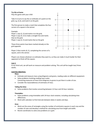#### **Try this at home**

Play this game with your child

Take it in turns to say the co-ordinates of a point on the grid, e.g. (2,3), and mark it on the grid.

The first person to make a mark that completes the four corners of a square is the winner.

#### Example:

Player 1 says (2, 3) and marks it on the grid; Player 2 says (4, 3) to make a straight line and marks that on the grid; Player 1 says (2, 5) and marks that on the grid.



Player 2 then marks (4, 5), completing the corners of a square, and is the winner.

Players can choose whatever co-ordinates they want to, so they can make it much harder for their opponent to finish off the square.

# **Unit 3**

In our third unit, we will work on measure and problem solving. This unit will be taught two/ three weeks.

#### **Learning objectives:**

**Mass**:

- Estimate and measure mass using kilograms and grams, reading scales on different equipment.
- Solve problems involving reading mass scales Converting measures of mass from kilograms to grams to put them in order of size.
- Consider the reasonableness of estimates of mass.

#### **Telling the time:**

Solve problems that involve converting between 12-hour and 24-hour notation.

#### **Timetables**:

- Solve problems using timetables with 24-hour clock notation, including calculating time differences.
- Work with calendars to find intervals between dates in weeks and days.

#### **Area**:

- Work out the areas of rectangles using the number of centimetre squares in each row and the number of rows and develop a method for calculating area from length and width.
- Revisit coordinates to solve area problems on a grid.

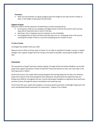#### **Perimeter**:

 Work out the perimeter of regular polygons given the length of one side and the number of sides, or the length of sides given the perimeter.

#### **Support at home**

Help your child to see the relevance of mathematics to their everyday life by:

- ensuring your child can use analogue and digital clocks to tell the time and to work out how long until an important time or event in the day.
- planning a real or imaginary journey using bus or train timetables.
- encouraging them to work out how many tiles there are in a rectangular wall or tile area by counting the number of tiles in a row and multiplying by the number of rows.

#### **Try this at home**

Investigate this problem with your child.

Measure and cut 24cm of string, wool or thread. Try to make an equilateral triangle, a square, a regular hexagon and a regular octagon with the string as accurately as possible, measuring the length of each side.

#### **Assessment**

The assessment of pupils' learning is always ongoing. Through verbal and written feedback, we provide pupils with support and advice in order to help them know and improve on their own next steps in the learning process in Maths.

At the end of every unit, pupils will be assessed against the learning objectives for that unit. However, pupils will continue to be assessed against these objectives and particularly the objectives they are finding more difficult, throughout the year. Parents will be given feedback on objectives that need more practise at home, through the parent consultation and reporting cycle.

At the end of the year, pupils will complete a curriculum based assessment: Cambridge Progression Test and a standardized based assessment: GL Assessment - Progress Test in Maths.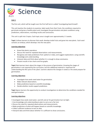

# **Unit 1**

The first unit, which will be taught over the first half term is called 'Investigating Seed Growth'.

This unit teaches the students to examine, label seeds from their fruits; the conditions required to germinate and grow a healthy plant and; investigate the germination and plant conditions using predictions, observations, recording results and conclusions.

This unit is split into 5 topics. Each topic area is taught over approximately 1 % weeks.

**Topic 1** allows learners to discover that seeds develop inside fruits and grow into new plants. Each seed contains an embryo, which develops into the new plant.

### **Learning objectives**

- Know that plants reproduce.
- Discuss the need for repeated observations and measurements.
- Recognise and make predictions from patterns in data, and suggest explanations using scientific knowledge and understanding.
- Interpret data and think about whether it is enough to draw conclusions.
- Present results in bar charts and line graphs.

**Topic 2** lets learners learn about the stages in the process of germination. Knowing the stages of germination is not required by the curriculum, but this additional material is important for understanding the life cycle of the plant. Learners observe the changes in seeds as the seeds prepare for germination.

#### **Learning objectives**

- Investigate how seeds need water for germination.
- Make relevant observations.
- Make predictions based on scientific knowledge.
- Decide whether results support predictions.

**Topic 3** gives learners the opportunity to conduct investigations to determine the conditions needed for seed germination.

#### **Learning objectives**

- Investigate how seeds need water, warmth and air for germination but not light.
- Use knowledge and understanding to plan to carry out a fair test.
- Discuss the need for repeated observations and measurements.
- Make predictions of what will happen based on scientific knowledge.
- Collect sufficient evidence to test an idea.
- Interpret data and think about whether it is sufficient to draw conclusions.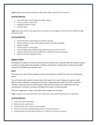**Topic 4** explores the concept that plants need water, light, warmth and air to grow.

### **Learning objectives**

- Know that plants need energy from light to grow.
- Present results in a bar chart.
- Recognise patterns in data.
- Interpret data.

**Topic 5** gives the learners the opportunity to conduct an investigation to determine the effects of light on plant growth.

#### **Learning objectives**

- Know that plants need energy from light for growth.
- Make predictions of what will happen based on scientific knowledge.
- Measure length.
- Present results in a line graph.
- Use knowledge and understanding to plan how to carry out a fair test.
- Interpret data and think about whether it is sufficient to draw conclusions.
- Begin to evaluate repeated results.

#### **Support at home**

Encourage the students to examine seeds found in everyday fruits; if possible allow the student to grow a number of seeds whilst discussing the conditions required for a healthy plant and then the possible reasons for the differences in growth rates.

#### **Unit 2**

The second unit, which will be taught over the second half term is called 'The Life Cycle of Flowering Plants'.

This unit teaches the students to know some of the ways that a seed is dispersed, examine, label different types of flowers recording their functions; understand why seeds are in fruits; recalls the conditions required to grow a healthy plant; understand the importance of pollination and how reproduction is achieved ; and draw and label the life cycle of a flowering plant.

The unit is taught over 7 topics. Each topic will be taught over one week.

**Topic 1** explores the idea that flowers form fruits and seeds, which help the plant to reproduce.

#### **Learning objectives**

- Know that plants reproduce.
- Make relevant observations.
- Present results in bar charts and line graphs.
- Discuss the need for repeated observations and measurements.
- Interpret data and think about whether it is sufficient to draw conclusions.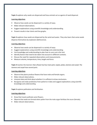**Topic 2** explores why seeds are dispersed and how animals act as agents of seed dispersal.

# **Learning objectives**

- Observe how seeds can be dispersed in a variety of ways.
- Make relevant observations.
- Suggest explanations using scientific knowledge and understanding.
- Present results in bar charts and line graphs.

**Topic 3** explores how seeds are dispersed by the wind and water. They also learn that some seeds disperse themselves by explosion (dehiscence).

### **Learning objectives**

- Observe how seeds can be dispersed in a variety of ways.
- Suggest explanations using scientific knowledge and understanding.
- Use knowledge and understanding to plan how to carry out a fair test.
- $\bullet$  Identify factors that need to be taken into account in different contexts.
- Discuss the need for repeated observations and measurements.
- Measure volume, temperature, time, length and force.

**Topic 4** teaches the learners that a flower has four main parts: sepals, petals, stamens and carpel. The stamens and carpel have several parts.

#### **Learning objectives**

- Observe that plants produce flowers that have male and female organs.
- Make relevant observations.
- Interpret data and think about whether it is sufficient to draw conclusions.
- Recognise and make predictions from patterns in data and suggest explanations using scientific knowledge and understanding.

**Topic 5** explores pollination and fertilisation.

# **Learning objectives**

- Know that insects pollinate some flowers.
- Observe that seeds are formed when pollen from the male organ fertilises the ovum (female).
- Make relevant observations.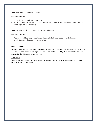**Topic 6** explores the patterns of pollination.

#### **Learning objectives**

- Know that insects pollinate some flowers.
- Recognise and make predictions from patterns in data and suggest explanations using scientific knowledge and understanding.

**Topic 7** teaches the learners about the life cycle of plants.

#### **Learning objectives**

 Recognise that flowering plants have a life cycle including pollination, fertilisation, seed production, seed dispersal and germination.

#### **Support at home**

Encourage the students to examine seeds found in everyday fruits; if possible, allow the student to grow a number of seeds whilst discussing the conditions required for a healthy plant and then the possible reasons for the differences in growth rates.

#### **Assessment**

The students will complete a unit assessment at the end of each unit, which will assess the students learning against the objectives.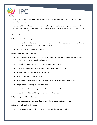

First half term International Primary Curriculum: 'the great, the bold and the brave', will be taught up to the mid-term break.

History is one big story. We are surrounded by the legacy of many important figures from the past. The scientists, artists, leaders, humanitarians, explorers and writers. The list is endless. We can learn about the qualities that these famous people possessed to help them achieve.

The unit will be taught cross-curricular

# **In History we will be finding out:**

- Know stories about a variety of people who have lived in different cultures in the past. How our use of energy contributes to the greenhouse effect
- How we can reduce our use of energy

# **In Geography, we'll be finding out:**

- How explorers navigated parts of the world and how mapping skills improved from this.Why recycling and re-using materials is important
- Know about a range of events that have happened in the past.
- Be able to enquire and research about the past using different sources.
- To use relevant vocabulary relating to the past.
- To plot a timeline using BCE and CE.
- To identify differences and similarities between their lives and people from the past.
- To present their findings in a variety of ways.
- Understand that events and people's actions have causes and effects.
- Understand that the past is represented in a variety of ways.

# **In Technology, we'll be finding out:**

How we can use compasses and other technological advances to aid direction

# **In International, we'll be finding out:**

About how to respect each other's culture, individuality and independence.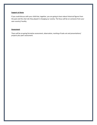### **Support at Home**

If you could discuss with your child that, together, you are going to learn about historical figures from the past and the vital role they played in changing our society. The focus will be on someone from your own country/ locality.

#### **Assessment**

There will be on-going formative assessment, observation, marking of tasks set and presentations/ projects plus peer assessment.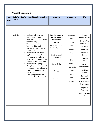# **Physical Education**

| tivity<br><b>Week</b><br>$\mathsf{s}$<br>Students will focus on<br>Over the course of<br>$\mathbf{1}$<br>Volleyba<br>$\bullet$<br>Accuracy<br>developing movement on<br>$\mathsf{I}$<br>the unit areas of<br>Throw<br>court, linking skills together<br>focus within<br>to form a rally.<br>lessons:<br>Target<br>The students will learn<br>$\bullet$ | <b>SAL</b>                    |
|--------------------------------------------------------------------------------------------------------------------------------------------------------------------------------------------------------------------------------------------------------------------------------------------------------------------------------------------------------|-------------------------------|
|                                                                                                                                                                                                                                                                                                                                                        |                               |
|                                                                                                                                                                                                                                                                                                                                                        |                               |
|                                                                                                                                                                                                                                                                                                                                                        |                               |
|                                                                                                                                                                                                                                                                                                                                                        | <b>Physical</b>               |
|                                                                                                                                                                                                                                                                                                                                                        | <b>Competencies</b>           |
|                                                                                                                                                                                                                                                                                                                                                        | Gross & Fine<br>motor skills  |
| Ready position and<br>Catch<br>basic attacking and<br><b>Ball Familiarisation</b>                                                                                                                                                                                                                                                                      | Kinesthetic                   |
| defending strategies and<br>Dodge<br>techniques.                                                                                                                                                                                                                                                                                                       | Awareness                     |
| Students will select and<br>Dip<br>apply their skills so that<br>Footwork and                                                                                                                                                                                                                                                                          | Balance &<br>Control          |
| <b>Duck</b><br>they can carry out basic<br>Movement                                                                                                                                                                                                                                                                                                    |                               |
| tactics with the intention of<br>Dive<br>outwitting their opponents.                                                                                                                                                                                                                                                                                   | Cognitive<br>skills           |
| Dodge<br>Students will highlight<br>$\bullet$<br>Volley & Dig                                                                                                                                                                                                                                                                                          | Focus &                       |
| strength and weakness and<br>Regenerate<br>improve on the weaknesses                                                                                                                                                                                                                                                                                   | Concentration                 |
| in order to improve. They<br>Snipe<br>Serving<br>will be recapping and                                                                                                                                                                                                                                                                                 | Decision<br>Making            |
| Tactic<br>developing skills learnt                                                                                                                                                                                                                                                                                                                     | Personal                      |
| during Volleyball in Year 5.<br><b>Block</b><br>Gameplay                                                                                                                                                                                                                                                                                               | <b>Qualities</b>              |
| Guard                                                                                                                                                                                                                                                                                                                                                  | Determination<br>& Resilience |
|                                                                                                                                                                                                                                                                                                                                                        | Respect &<br>Tolerance        |
|                                                                                                                                                                                                                                                                                                                                                        | Communicatio<br>n             |
|                                                                                                                                                                                                                                                                                                                                                        |                               |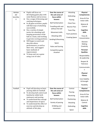| Skittleb<br>all/<br>benchba<br>$\mathbf{I}$ | Pupils will focus on<br>$\bullet$<br>developing game play with<br>some fluency and accuracy.<br>Use a range of throwing and<br>$\bullet$<br>catching techniques.<br>In all game activities, pupils<br>will find ways of attacking<br>successfully.<br>Use a variety of simple<br>$\bullet$<br>tactics for attacking well,<br>keeping possession of the<br>ball as a team, and working<br>to get into scoring positions.<br>Will begin to watch and<br>$\bullet$<br>describe others<br>performances, as well as<br>their own, and suggest<br>basic methods of<br>improvement.<br>To keep and run a game<br>$\bullet$<br>using a set of rules. | Over the course of<br>the unit areas of<br>focus within<br>lessons:<br><b>Ball Familarisation</b><br>Travelling with and<br>without the ball<br>Movement skills<br><b>Attacking skills</b><br>Sending & Receiving<br>Space<br><b>Rules and Scoring</b><br>Competitive game<br>situation | Attacking<br>Defending<br>Passing<br><b>Chest Pass</b><br><b>Bounce Pass</b><br><b>Team Play</b><br>Team positions<br><b>Creating Space</b> | <b>Physical</b><br><b>Competencies</b><br>Gross & Fine<br>motor skills<br>Balance &<br>Control<br>Cognitive<br>skills<br>Focus &<br>Concentration<br>Decision<br>Making<br>Creativity<br>Personal<br><b>Qualities</b><br>Responsibility<br>& Leadership<br>Respect &<br>Tolerance<br>Communicatio<br>n<br><b>Physical</b><br><b>Fitness</b><br>Core Stability<br>& Strength<br>Flexibility |
|---------------------------------------------|----------------------------------------------------------------------------------------------------------------------------------------------------------------------------------------------------------------------------------------------------------------------------------------------------------------------------------------------------------------------------------------------------------------------------------------------------------------------------------------------------------------------------------------------------------------------------------------------------------------------------------------------|-----------------------------------------------------------------------------------------------------------------------------------------------------------------------------------------------------------------------------------------------------------------------------------------|---------------------------------------------------------------------------------------------------------------------------------------------|--------------------------------------------------------------------------------------------------------------------------------------------------------------------------------------------------------------------------------------------------------------------------------------------------------------------------------------------------------------------------------------------|
| Football                                    | Pupil will develop on basic<br>$\bullet$<br>passing skills for football.<br>To develop ball control and<br>$\bullet$<br>familiarity whilst both<br>stationary and moving.<br>To understand the concept<br>$\bullet$<br>and importance of space.<br>To understand the effect of<br>exercise and develop an<br>attitude of fair play,                                                                                                                                                                                                                                                                                                          | Over the course of<br>the unit areas of<br>focus within<br>lessons:<br><b>Ball Familarisation</b><br>Variety of passing<br>Dribbling and<br>movement                                                                                                                                    | Control<br>Passing<br>Receiving<br>Positioning<br>Attacking<br>Defending<br>Space                                                           | <b>Physical</b><br><b>Competencies</b><br>Gross & Fine<br>motor skills<br>Balance &<br>Control<br>Cognitive<br>skills                                                                                                                                                                                                                                                                      |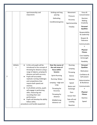|                |          | sportsmanship and                                              | Striking and long        | Movement            | Focus &                           |
|----------------|----------|----------------------------------------------------------------|--------------------------|---------------------|-----------------------------------|
|                |          | enjoyment.                                                     | passing                  | Pressure            | Concentration                     |
|                |          |                                                                | Defending                | Accuracy            | Decision                          |
|                |          |                                                                | Conditioned games        |                     | Making<br>Creativity              |
|                |          |                                                                |                          | Sportsmanship       |                                   |
|                |          |                                                                |                          | Fairplay            | Personal<br><b>Qualities</b>      |
|                |          |                                                                |                          |                     | Responsibility<br>& Leadership    |
|                |          |                                                                |                          |                     | Respect &<br>Tolerance            |
|                |          |                                                                |                          |                     | Communicatio<br>n                 |
|                |          |                                                                |                          |                     | <b>Physical</b><br><b>Fitness</b> |
|                |          |                                                                |                          |                     | Core Stability<br>& Strength      |
|                |          |                                                                |                          |                     | Flexibility                       |
|                | Athletic | In this unit pupils will be<br>$\bullet$                       | Over the course of       | Running             | Personal                          |
|                | S        | introduced to the concept of                                   | the unit areas of        | Jumping             | <b>Qualities</b>                  |
|                |          | throwing for distance using a<br>range of objects, jumping for | focus within<br>lessons: |                     | Motivation                        |
|                |          | distance and with accuracy.                                    |                          | Throwing            | Confidence &                      |
| $\overline{2}$ |          | Pupils will accurately                                         | <b>Sprint Running</b>    | <b>Stance</b>       | Self esteem                       |
|                |          | replicate running challenges                                   | <b>Running - Relays</b>  | Stamina             | Determination                     |
|                |          | and competitions that<br>require both speed and                | Jumping - High and       | Speed               | & Resilience                      |
|                |          | stamina.                                                       | Long                     | <b>Baton</b> and    | Communicatio                      |
|                |          | In all athletic activity, pupils                               | Throwing for             | Exchange            | n                                 |
|                |          | will engage in performing                                      | Accuracy                 | Pace                | <b>Physical</b>                   |
|                |          | skills, measuring and<br>recording their own                   | Throwing for             |                     | <b>Fitness</b>                    |
|                |          | performance.                                                   | distance                 | <b>Scissor Kick</b> | Stamina                           |
|                |          | Pupils will develop the ability                                | Middle/Long              | Take off and        |                                   |
|                |          | follow safety                                                  | distance run             | Landing             | Speed                             |
|                |          | procedures and handle equipment                                |                          | Reaction            |                                   |
|                |          |                                                                |                          |                     |                                   |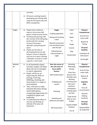|                | correctly.                                                              |                                       |                            |                     |
|----------------|-------------------------------------------------------------------------|---------------------------------------|----------------------------|---------------------|
|                | All lessons working towards<br>$\bullet$                                |                                       |                            |                     |
|                | developing and refining skills                                          |                                       |                            |                     |
|                | ready for KS2 Sports day and                                            |                                       |                            |                     |
|                | MPSL Competition.                                                       |                                       |                            |                     |
|                |                                                                         |                                       |                            |                     |
| Rugby          | Pupils look to build on<br>$\bullet$                                    | <b>Rugby</b>                          | Catch                      | <b>Physical</b>     |
|                | aspects of previous ball                                                | Evading opposition                    | Pass                       | <b>Competencies</b> |
|                | games using invasion tactics                                            |                                       |                            | Gross & Fine        |
|                | Catching and passing with<br>$\bullet$<br>the concept of the ball going | Giving and receiving                  | Space                      | motor skills        |
|                | backwards but running                                                   | a pass                                | <b>Try</b>                 | Rhythm &            |
|                | forward. Drawing a                                                      | Maintain possession                   | Target                     | Timing              |
|                | defender and passing into                                               | and moving forward                    |                            |                     |
|                | space.                                                                  | with the ball                         | Evasion                    | Personal            |
|                | Pupils use the idea of<br>$\bullet$<br>developing footwork and          | Following basic                       | Step                       | <b>Qualities</b>    |
|                | balance to beat a defender                                              | rules/concepts of                     | Acceleration               | Confidence &        |
|                | and run in to space. Moving                                             | rugby                                 |                            | Self esteem         |
|                | a defender around to create                                             |                                       |                            | & Strength          |
|                | a gap for a team mate                                                   |                                       |                            |                     |
| <b>Basketb</b> | In all basketball related<br>$\bullet$                                  | Over the course of                    | Attacking                  | <b>Physical</b>     |
| all            | activities, pupils will think                                           | the unit areas of                     | Defending                  | <b>Competencies</b> |
|                | about the use of strategies                                             | focus within                          | Passing                    | Gross & Fine        |
|                | to outwit opponents.                                                    | lessons:                              | <b>Chest Pass</b>          | motor skills        |
|                |                                                                         |                                       |                            |                     |
|                | Pupils will focus on<br>$\bullet$                                       | <b>Ball Familiarisation</b>           | <b>Bounce Pass</b>         |                     |
|                | improving the skills of                                                 |                                       | Shoulder pass              | Balance &           |
|                | passing, receiving,<br>dribbling, shooting and                          |                                       | Marking                    | Control             |
|                | tactical play in a range of                                             | Dribbling and                         | Covering team              | Cognitive           |
|                | environments.                                                           | control                               | play team                  | skills              |
|                | They will learn to make<br>$\bullet$                                    |                                       | positions                  | Focus &             |
|                | informed decisions during                                               |                                       | anticipation               | Concentration       |
|                | small sided games,<br>recognizing opportunity for                       | Shooting                              | creating space<br>Set Shot |                     |
|                | competitive games and                                                   |                                       |                            | Decision<br>Making  |
|                | leadership.                                                             |                                       | Triple threat              | Creativity          |
|                | To understand the effect of<br>$\bullet$                                | Attacking and<br>Defensive principles | Man to man                 |                     |
|                | exercise and develop an                                                 |                                       | Dribble                    | Personal            |
|                | attitude of fair play and                                               |                                       | Double dribble             | <b>Qualities</b>    |
|                | enjoyment.                                                              | Self Assessment                       | Violation                  | Responsibility      |
|                |                                                                         |                                       | Lay up                     | & Leadership        |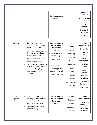|                |                     |                                                                                                                                                                                                                                                                                                                                                    | Competitive game<br>situations                                                                                                                                                                                                                   |                                                                                                                                                    | Respect &<br>Tolerance<br>Communicatio<br>n<br><b>Physical</b><br><b>Fitness</b><br>Core Stability<br>& Strength<br>Flexibility                                                                                                    |
|----------------|---------------------|----------------------------------------------------------------------------------------------------------------------------------------------------------------------------------------------------------------------------------------------------------------------------------------------------------------------------------------------------|--------------------------------------------------------------------------------------------------------------------------------------------------------------------------------------------------------------------------------------------------|----------------------------------------------------------------------------------------------------------------------------------------------------|------------------------------------------------------------------------------------------------------------------------------------------------------------------------------------------------------------------------------------|
| 3              | Handball            | Pupils will focus on<br>$\bullet$<br>developing basic passing<br>skills for Handball.<br>To develop ball control and<br>familiarity whilst both<br>stationary and moving.<br>Understand concept and<br>importance of space.<br>To understand the effect of<br>exercise and develop an<br>attitude of fair play,<br>sportsmanship and<br>enjoyment. | Over the course of<br>the unit areas of<br>focus within<br>lessons:<br>Moving with the ball<br>towards a goal<br>Short passing<br>Movement away<br>from a defender<br>Shooting from<br>outside a smaller D<br>Conditioned, non<br>contact games. | Control<br>Passing<br>Receiving<br>Positioning<br>Attacking<br>Defender<br>Space<br>Movement<br>Pressure<br>Accuracy<br>Sportsmanship<br>Fair play | <b>Physical</b><br><b>Competencies</b><br>Coordination<br>Cognitive<br>skills<br>Focus &<br>Concentration<br>Decision<br>Making<br>Problem<br>Solving<br>Personal<br><b>Qualities</b><br>Confidence &<br>Self esteem<br>& Strength |
| $\overline{3}$ | <b>Net</b><br>games | Students will focus on<br>$\bullet$<br>developing movement on<br>court, linking skills<br>together to form a rally.<br>The students will learn<br>basic attacking and                                                                                                                                                                              | Over the course of<br>the unit areas of<br>focus within<br>lessons:                                                                                                                                                                              | Sending<br>Receiving<br>Feeding<br>Anticipation<br>Scoring                                                                                         | <b>Physical</b><br><b>Competencies</b><br>Gross & Fine<br>motor skills<br>Coordination<br>& Fluency                                                                                                                                |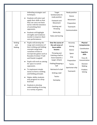|                                    | defending strategies and<br>techniques.<br>Students will select and<br>$\bullet$<br>apply their skills so that<br>they can carry out basic<br>tactics with the intention<br>of outwitting their<br>opponents.<br>Students will highlight<br>$\bullet$<br>strengths and weakness<br>inorder to improve their<br>own performances.                                                                                                                                                                                                                            | Target<br>familiarization &<br>ready position<br>Footwork and<br>Movement<br>Catching and<br>throwing<br>Game play<br><b>Rules and Scoring</b>                                                                                                        | Ready position<br><b>Stance</b><br>Movement<br>Preparation<br><b>Teamwork</b><br>Communication               |                                                                                                                                                       |
|------------------------------------|-------------------------------------------------------------------------------------------------------------------------------------------------------------------------------------------------------------------------------------------------------------------------------------------------------------------------------------------------------------------------------------------------------------------------------------------------------------------------------------------------------------------------------------------------------------|-------------------------------------------------------------------------------------------------------------------------------------------------------------------------------------------------------------------------------------------------------|--------------------------------------------------------------------------------------------------------------|-------------------------------------------------------------------------------------------------------------------------------------------------------|
| <b>Striking</b><br>and<br>fielding | Pupils will develop the<br>$\bullet$<br>range and consistency of<br>their striking and fielding<br>concepts using basic<br>variations of bats to<br>incorporate games such as<br>Rounder/Cricket/T ball<br>and Danish Longball<br>Pupils will work on aiming<br>$\bullet$<br>for space to outwit<br>opponents.<br>To implement simple<br>$\bullet$<br>tactics to form a striking<br>and fielding principle.<br>Higher ability students<br>may progress to a drop<br>feed ball.<br>Students to develop<br>understanding of scoring<br>in a variety of games. | Over the course of<br>the unit areas of<br>focus within<br>lessons:<br>Throwing and<br>Catching a ball to<br>move towards a<br>target. (Chain)<br>Fielding/Stopping a<br>ball<br>Retrieval of a ball<br>Striking a ball<br><b>Tactics</b><br>Gameplay | Accuracy<br>Aiming<br>Stance<br>Space<br>Grip<br>Preparation<br><b>Tactics</b><br>Sportsman-ship<br>Teamwork | <b>Physical</b><br><b>Competencies</b><br>Coordination<br>Cognitive<br>skills<br>Focus &<br>Concentration<br>Decision<br>Making<br>Problem<br>Solving |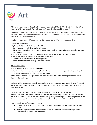

This term the students of Grade 5 will be taught art using two IPC units, 'The Great, The Bold and The Brave' and 'Climate control'. They will focus on Ancient Greek Art and Cityscapes Art.

Pupils will understand what Ancient Greek art is, by researching and collecting both visual and historical information in their sketchbooks to help them understand the purpose, techniques and materials used by Greek artists.

Pupils will learn about different style in Cityscape Art and different cityscape artists.

# **Aims and Objectives:**

### **By the end of the unit, students will be able to:**

- Communicate through visual and tactile forms
- Make judgements about works of art, showing understanding, appreciation, respect and enjoyment as appropriate.
- Consider works of art in terms of meaning, design, materials, technique, place and time.
- to design, create and evaluate comedy and tragedy masks.
- To draw 3D perspective with 2 vanishing points.
- Replicate cityscape photos using different mediums.

#### **Skills Development**

#### **During the course of this unit, students will:**

1: Be able to draw an accurate and complete Parthenon with two vanishing points using a variety of water colour tones to achieve the 3D effect and depth.

Students should be able to explain how they have achieved their outcome and give their opinion to improve their painting.

2: Design either a comedy or tragedy mask and then follow their design to create their mask. They add other features to their masks in the style of the Ancient Greek masks, such as hair and hair decorations, ears, beards, etc.

3: Use Pop Art techniques and layering to create a 3d cityscape (Charles Fazzino' style): Children will learn who Charles Fazzino is and how he creates his unique cityscapes. They will explore what 3D pop art is and how it is created before looking at cityscape images and discussing the detail and layers they can see. Children will then get the chance to create their own 3D pop art city.

4: Create reflections of cityscapes on water:

- Children will learn about some famous cities around the world that are built on and around water.
- They will explore the reflections on these bodies of water and will learn how to paint with watercolours to create different effects.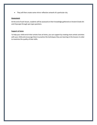They will then create some mirror reflection artwork of a particular city.

#### **Assessment**

At the end of each lesson, students will be assessed on their knowledge gathered on Ancient Greek Art and Cityscape through quiz type questions.

# **Support at home**

To help your child enrich their artistic lives at home, you can support by creating more artistic activities with your child and encourage them to practice the techniques they are learning in the lessons in order to maximize the quality of their skills.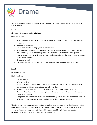

This term in Drama, Grade 4 students will be working on 'Elements of drama/key acting principles' and 'Greek Theatre'.

# **Unit 1**

# **Elements of Drama/Key acting principles:**

Students will learn:

- The importance of 'FREEZE' in drama and the drama studio rules as a performer and audience member.
- Tableaux/Freeze frames
- Facial expression/body language to create character
- The 3 principles of blocking and how to apply these to their performances. Students will spend time rehearsing and demonstrating these skills in various short performances in groups.
- How to create a story which is clear to understand to an audience focusing on clear structures, beginning/middle/end.
- The use of narration
- To begin building their confidence through consistent short performances to the class.

# **Unit 2**

# **Fables and Morals:**

Students will learn:

- What a fable is.
- What a moral is.
- A variety of short fables and discuss the lessons learnt/meanings of each and be able to give other examples of these lessons being applied in real life.
- To read stories in small groups or to the class and concentrate on their vocalization.
- To re-create and adapt stories in groups, in order to perform short skits based on the fables learnt to an audience.
- Using the elements of drama previously learnt and being able to apply these to their fable topic.
- To begin forming innovative characters which add to their story appropriately.

The aim for term 1 is to develop initial confidence and ensure all students within the class begin to feel more comfortable performing in front of one another, if not already. For those students in the class whose confidence is more prominent, these skills assist them with beginning to improve their performances skills further whilst sustaining their confidence.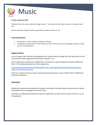

# **Further Keyboard Skills**

Students learn the scale using the solfege system. They sing and hand sign a variety of songs to learn this.

Grade 5 develop keyboard skills using Yankee Doodle and Ode to Joy.

### **Learning objectives**

- Participate in unison and part singing or playing
- Contribute to performances with mostly accurate timing and with increasingly accurate tuning, control, and expression.

### **Support at home**

You can support your child by encouraging them to sing and play the songs that they have learnt in their music lesson and by singing the musical scale using do, re, mi.

If your child shows interest in the subject then investment in a piano keyboard would be excellent for them. The following website has a lot of songs to try:

[https://easymusicnotes.com/index.php?option=com\\_content&view=category&id=145:piano-level-](https://easymusicnotes.com/index.php?option=com_content&view=category&id=145:piano-level-1&Itemid=155&layout=default)[1&Itemid=155&layout=default](https://easymusicnotes.com/index.php?option=com_content&view=category&id=145:piano-level-1&Itemid=155&layout=default)

Listen to a variety of music at home, perhaps exploring composers such as Vivaldi, Mozart, Beethoven, Stravinsky and Bartok.

#### **Assessment**

Students are assessed each week by the teacher according to how well they can sing as part of a group and whether they are singing in tune and in time.

They have an individual assessment on how accurately they can play Yankee Doodle and Ode to Joy on the keyboard.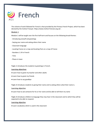

The scheme of work followed for French is that provided by the Primary French Project, which has been devised by the Institut Français https://www.institut-francais.org.uk/ .

### **Module 1**

Module 1 will be taught over the first half-term and focuses on the following broad themes:

- Introducing oneself and greetings
- Saying your name and asking others their name
- Classroom language
- Locating France on a map and locating Paris on a map of France
- Numbers 1-24 in French
- Time
- Places in town

**Topic 1** introduces the students to greetings in French.

#### **Learning objectives**

- Learn how to greet my teacher and other adults
- Learn how to greet my friends
- Learn how to say goodbye

**Topic 2** introduces students to giving their name and to asking others what their name is.

#### **Learning objective**

● Learn how to ask someone for his or her name and be able to tell them my name

**Topic 3** introduces children to language they may hear in the classroom and to which they will be expected to be able to respond.

# **Learning objective**

● Learn vocabulary which is used in the classroom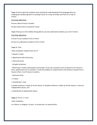**Topic 4** aims to give the students some contextual understanding of the language they are studying by introducing them to locating France on a map of Europe and Paris on a map of France.

#### **Learning objectives**

- Learn where France is located
- Learn where Paris is located in France

**Topic 5** focuses on the children being able to use and understand numbers up to 24 in French.

#### **Learning objectives**

- Learn to use numbers 0-24 in French
- Learn to understand numbers 0-24 in French

#### **Topic 6**: Time

-New vocabulary: Quelle heure est-il?

- Adverb: o'clock
- Agreements with clock times
- midi and minuit
- Complex sentences

- World clock: model a full question and answer. If you ask a question such as Quand il est 5 heures à Paris, quelle heure est-il à Londres ?, invite the children to respond with a full sentence: Quand il est 5 heures à Paris, il est 4 heures à Londres…

- Grammar Point:
- a clause
- subordinate / main

A simple sentence is made up of one clause. A complex sentence is made up of two clauses: a main (or independent) clause, and

a subordinate (or dependent) clause.

**Topic 7:** Places in town

-New vocabulary

un cinéma, un magasin, un parc, un restaurant, un supermarché..